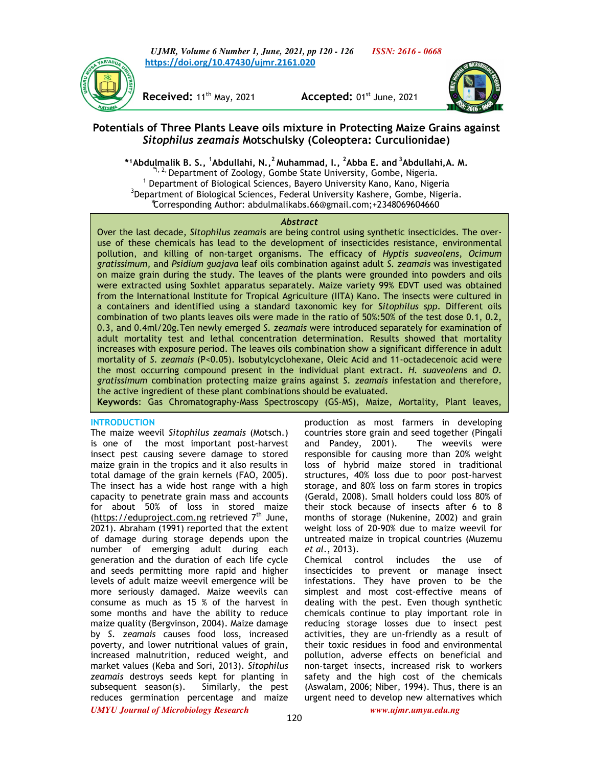*UJMR, Volume 6 Number 1, June, 2021, pp 120 - 126 ISSN: 2616 - 0668* **https://doi.org/10.47430/ujmr.2161.020**



**Received:** 11th May, 2021 **Accepted:** 01st June, 2021



# **Potentials of Three Plants Leave oils mixture in Protecting Maize Grains against**  *Sitophilus zeamais* **Motschulsky (Coleoptera: Curculionidae)**

**\*¹Abdulmalik B. S., <sup>1</sup>Abdullahi, N.,<sup>2</sup>Muhammad, I., <sup>2</sup>Abba E. and<sup>3</sup>Abdullahi,A. M.**  <sup>\*1, 2,</sup> Department of Zoology, Gombe State University, Gombe, Nigeria. <sup>1</sup> Department of Biological Sciences, Bayero University Kano, Kano, Nigeria <sup>3</sup>Department of Biological Sciences, Federal University Kashere, Gombe, Nigeria. ⃰Corresponding Author: abdulmalikabs.66@gmail.com;+2348069604660

### *Abstract*

Over the last decade, *Sitophilus zeamais* are being control using synthetic insecticides. The overuse of these chemicals has lead to the development of insecticides resistance, environmental pollution, and killing of non-target organisms. The efficacy of *Hyptis suaveolens, Ocimum gratissimum,* and *Psidium guajava* leaf oils combination against adult *S. zeamais* was investigated on maize grain during the study. The leaves of the plants were grounded into powders and oils were extracted using Soxhlet apparatus separately. Maize variety 99% EDVT used was obtained from the International Institute for Tropical Agriculture (IITA) Kano. The insects were cultured in a containers and identified using a standard taxonomic key for *Sitophilus spp*. Different oils combination of two plants leaves oils were made in the ratio of 50%:50% of the test dose 0.1, 0.2, 0.3, and 0.4ml/20g.Ten newly emerged *S. zeamais* were introduced separately for examination of adult mortality test and lethal concentration determination. Results showed that mortality increases with exposure period. The leaves oils combination show a significant difference in adult mortality of *S. zeamais* (P<0.05). Isobutylcyclohexane, Oleic Acid and 11-octadecenoic acid were the most occurring compound present in the individual plant extract. *H. suaveolens* and *O. gratissimum* combination protecting maize grains against *S. zeamais* infestation and therefore, the active ingredient of these plant combinations should be evaluated.

**Keywords**: Gas Chromatography-Mass Spectroscopy (GS-MS), Maize, Mortality, Plant leaves,

## **INTRODUCTION**

*UMYU Journal of Microbiology Research www.ujmr.umyu.edu.ng* The maize weevil *Sitophilus zeamais* (Motsch.) is one of the most important post-harvest insect pest causing severe damage to stored maize grain in the tropics and it also results in total damage of the grain kernels (FAO, 2005). The insect has a wide host range with a high capacity to penetrate grain mass and accounts for about 50% of loss in stored maize (https://eduproject.com.ng retrieved  $7<sup>th</sup>$  June, 2021). Abraham (1991) reported that the extent of damage during storage depends upon the number of emerging adult during each generation and the duration of each life cycle and seeds permitting more rapid and higher levels of adult maize weevil emergence will be more seriously damaged. Maize weevils can consume as much as 15 % of the harvest in some months and have the ability to reduce maize quality (Bergvinson, 2004). Maize damage by *S. zeamais* causes food loss, increased poverty, and lower nutritional values of grain, increased malnutrition, reduced weight, and market values (Keba and Sori, 2013). *Sitophilus zeamais* destroys seeds kept for planting in subsequent season(s). Similarly, the pest reduces germination percentage and maize

production as most farmers in developing countries store grain and seed together (Pingali and Pandey, 2001). The weevils were responsible for causing more than 20% weight loss of hybrid maize stored in traditional structures, 40% loss due to poor post-harvest storage, and 80% loss on farm stores in tropics (Gerald, 2008). Small holders could loss 80% of their stock because of insects after 6 to 8 months of storage (Nukenine, 2002) and grain weight loss of 20-90% due to maize weevil for untreated maize in tropical countries (Muzemu *et al.*, 2013).

Chemical control includes the use of insecticides to prevent or manage insect infestations. They have proven to be the simplest and most cost-effective means of dealing with the pest. Even though synthetic chemicals continue to play important role in reducing storage losses due to insect pest activities, they are un-friendly as a result of their toxic residues in food and environmental pollution, adverse effects on beneficial and non-target insects, increased risk to workers safety and the high cost of the chemicals (Aswalam, 2006; Niber, 1994). Thus, there is an urgent need to develop new alternatives which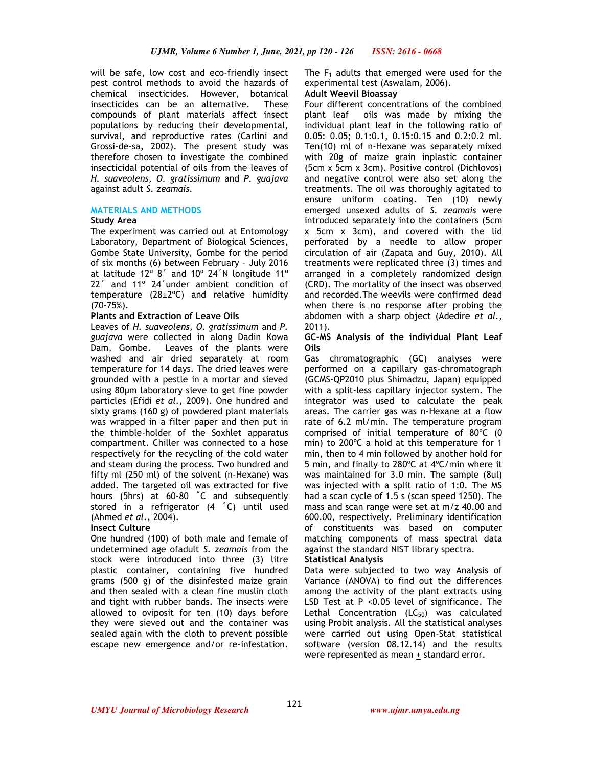will be safe, low cost and eco-friendly insect pest control methods to avoid the hazards of chemical insecticides. However, botanical insecticides can be an alternative. These compounds of plant materials affect insect populations by reducing their developmental, survival, and reproductive rates (Carlini and Grossi-de-sa, 2002). The present study was therefore chosen to investigate the combined insecticidal potential of oils from the leaves of *H. suaveolens, O. gratissimum* and *P. guajava*  against adult *S. zeamais.*

## **MATERIALS AND METHODS**

## **Study Area**

The experiment was carried out at Entomology Laboratory, Department of Biological Sciences, Gombe State University, Gombe for the period of six months (6) between February – July 2016 at latitude 12º 8´ and 10º 24´N longitude 11º 22´ and 11º 24´under ambient condition of temperature  $(28\pm2\degree C)$  and relative humidity (70-75%).

## **Plants and Extraction of Leave Oils**

Leaves of *H. suaveolens, O. gratissimum* and *P. guajava* were collected in along Dadin Kowa Dam, Gombe. Leaves of the plants were washed and air dried separately at room temperature for 14 days. The dried leaves were grounded with a pestle in a mortar and sieved using 80µm laboratory sieve to get fine powder particles (Efidi *et al.,* 2009). One hundred and sixty grams (160 g) of powdered plant materials was wrapped in a filter paper and then put in the thimble-holder of the Soxhlet apparatus compartment. Chiller was connected to a hose respectively for the recycling of the cold water and steam during the process. Two hundred and fifty ml (250 ml) of the solvent (n-Hexane) was added. The targeted oil was extracted for five hours (5hrs) at 60-80 ˚C and subsequently stored in a refrigerator (4 ˚C) until used (Ahmed *et al.,* 2004)*.*

## **Insect Culture**

One hundred (100) of both male and female of undetermined age ofadult *S. zeamais* from the stock were introduced into three (3) litre plastic container, containing five hundred grams (500 g) of the disinfested maize grain and then sealed with a clean fine muslin cloth and tight with rubber bands. The insects were allowed to oviposit for ten (10) days before they were sieved out and the container was sealed again with the cloth to prevent possible escape new emergence and/or re-infestation.

The  $F_1$  adults that emerged were used for the experimental test (Aswalam, 2006).

### **Adult Weevil Bioassay**

Four different concentrations of the combined plant leaf oils was made by mixing the individual plant leaf in the following ratio of 0.05: 0.05; 0.1:0.1, 0.15:0.15 and 0.2:0.2 ml. Ten(10) ml of n-Hexane was separately mixed with 20g of maize grain inplastic container (5cm x 5cm x 3cm). Positive control (Dichlovos) and negative control were also set along the treatments. The oil was thoroughly agitated to ensure uniform coating. Ten (10) newly emerged unsexed adults of *S. zeamais* were introduced separately into the containers (5cm x 5cm x 3cm), and covered with the lid perforated by a needle to allow proper circulation of air (Zapata and Guy, 2010). All treatments were replicated three (3) times and arranged in a completely randomized design (CRD). The mortality of the insect was observed and recorded.The weevils were confirmed dead when there is no response after probing the abdomen with a sharp object (Adedire *et al.,* 2011).

### **GC-MS Analysis of the individual Plant Leaf Oils**

Gas chromatographic (GC) analyses were performed on a capillary gas-chromatograph (GCMS-QP2010 plus Shimadzu, Japan) equipped with a split-less capillary injector system. The integrator was used to calculate the peak areas. The carrier gas was n-Hexane at a flow rate of 6.2 ml/min. The temperature program comprised of initial temperature of 80ºC (0 min) to 200ºC a hold at this temperature for 1 min, then to 4 min followed by another hold for 5 min, and finally to 280ºC at 4ºC/min where it was maintained for 3.0 min. The sample (8ul) was injected with a split ratio of 1:0. The MS had a scan cycle of 1.5 s (scan speed 1250). The mass and scan range were set at m/z 40.00 and 600.00, respectively. Preliminary identification of constituents was based on computer matching components of mass spectral data against the standard NIST library spectra.

## **Statistical Analysis**

Data were subjected to two way Analysis of Variance (ANOVA) to find out the differences among the activity of the plant extracts using LSD Test at P <0.05 level of significance. The Lethal Concentration  $(LC_{50})$  was calculated using Probit analysis. All the statistical analyses were carried out using Open-Stat statistical software (version 08.12.14) and the results were represented as mean  $\pm$  standard error.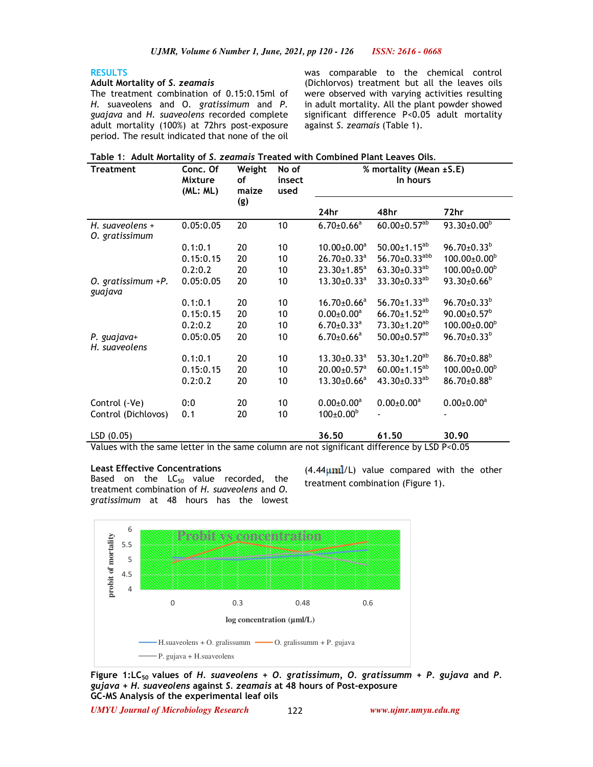## **RESULTS**

### **Adult Mortality of** *S. zeamais*

The treatment combination of 0.15:0.15ml of *H.* suaveolens and O*. gratissimum* and *P. guajava* and *H. suaveolens* recorded complete adult mortality (100%) at 72hrs post-exposure period. The result indicated that none of the oil was comparable to the chemical control (Dichlorvos) treatment but all the leaves oils were observed with varying activities resulting in adult mortality. All the plant powder showed significant difference P<0.05 adult mortality against *S. zeamais* (Table 1).

|  |  |  | Table 1: Adult Mortality of S. zeamais Treated with Combined Plant Leaves Oils. |
|--|--|--|---------------------------------------------------------------------------------|
|--|--|--|---------------------------------------------------------------------------------|

| <b>Treatment</b>                  | Conc. Of<br>Mixture<br>(ML: ML) | Weight<br>οf<br>maize | No of<br>insect<br>used | % mortality (Mean ±S.E)<br>In hours |                                 |                              |  |
|-----------------------------------|---------------------------------|-----------------------|-------------------------|-------------------------------------|---------------------------------|------------------------------|--|
|                                   |                                 | (g)                   |                         | 24hr                                | 48hr                            | 72hr                         |  |
| H. suaveolens +<br>O. gratissimum | 0.05:0.05                       | 20                    | 10                      | $6.70 \pm 0.66^a$                   | $60.00 \pm 0.57^{ab}$           | $93.30 \pm 0.00^b$           |  |
|                                   | 0.1:0.1                         | 20                    | 10                      | $10.00 \pm 0.00^a$                  | $50.00 \pm 1.15^{ab}$           | $96.70 \pm 0.33^b$           |  |
|                                   | 0.15:0.15                       | 20                    | 10                      | $26.70 \pm 0.33$ <sup>a</sup>       | $56.70 \pm 0.33$ <sup>abb</sup> | $100.00 \pm 0.00^{\circ}$    |  |
|                                   | 0.2:0.2                         | 20                    | 10                      | $23.30 \pm 1.85^a$                  | $63.30 \pm 0.33^{ab}$           | $100.00 \pm 0.00^{\circ}$    |  |
| $O.$ gratissimum $+P.$<br>guajava | 0.05:0.05                       | 20                    | 10                      | $13.30 \pm 0.33$ <sup>a</sup>       | $33.30\pm0.33^{ab}$             | $93.30 \pm 0.66^b$           |  |
|                                   | 0.1:0.1                         | 20                    | 10                      | $16.70 \pm 0.66^a$                  | 56.70 $\pm$ 1.33 <sup>ab</sup>  | $96.70 \pm 0.33^b$           |  |
|                                   | 0.15:0.15                       | 20                    | 10                      | $0.00 \pm 0.00^a$                   | $66.70 \pm 1.52^{ab}$           | $90.00 \pm 0.57^{\text{b}}$  |  |
|                                   | 0.2:0.2                         | 20                    | 10                      | $6.70 \pm 0.33$ <sup>a</sup>        | $73.30 \pm 1.20$ <sup>ab</sup>  | $100.00 \pm 0.00^{\circ}$    |  |
| P. guajava+<br>H. suaveolens      | 0.05:0.05                       | 20                    | 10                      | $6.70 \pm 0.66^a$                   | $50.00 \pm 0.57$ <sup>ab</sup>  | $96.70 \pm 0.33^b$           |  |
|                                   | 0.1:0.1                         | 20                    | 10                      | $13.30 \pm 0.33$ <sup>a</sup>       | $53.30 \pm 1.20^{ab}$           | $86.70{\pm}0.88^b$           |  |
|                                   | 0.15:0.15                       | 20                    | 10                      | $20.00 \pm 0.57$ <sup>a</sup>       | $60.00 \pm 1.15^{ab}$           | $100.00 \pm 0.00^{\circ}$    |  |
|                                   | 0.2:0.2                         | 20                    | 10                      | $13.30\pm0.66^a$                    | $43.30 \pm 0.33^{ab}$           | $86.70{\pm}0.88^b$           |  |
| Control (-Ve)                     | 0:0                             | 20                    | 10                      | $0.00 \pm 0.00$ <sup>a</sup>        | $0.00 \pm 0.00^a$               | $0.00 \pm 0.00$ <sup>a</sup> |  |
| Control (Dichlovos)               | 0.1                             | 20                    | 10                      | $100 \pm 0.00^{\rm b}$              |                                 |                              |  |
| LSD(0.05)                         |                                 |                       |                         | 36.50                               | 61.50                           | 30.90                        |  |

Values with the same letter in the same column are not significant difference by LSD P<0.05

### **Least Effective Concentrations**

Based on the  $LC_{50}$  value recorded, the treatment combination of *H. suaveolens* and *O. gratissimum* at 48 hours has the lowest  $(4.44 \mu mL/L)$  value compared with the other treatment combination (Figure 1).



**Figure 1:LC50 values of** *H. suaveolens + O. gratissimum, O. gratissumm + P. gujava* **and** *P. gujava + H. suaveolens* **against** *S. zeamais* **at 48 hours of Post-exposure GC-MS Analysis of the experimental leaf oils** 

*UMYU Journal of Microbiology Research www.ujmr.umyu.edu.ng*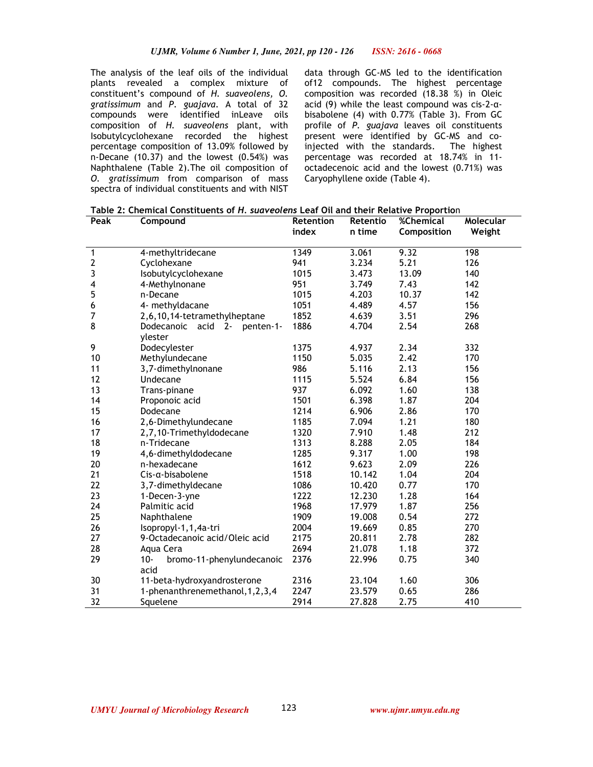The analysis of the leaf oils of the individual plants revealed a complex mixture of constituent's compound of *H. suaveolens, O. gratissimum* and *P. guajava*. A total of 32 compounds were identified inLeave oils composition of *H. suaveolens* plant, with Isobutylcyclohexane recorded the highest percentage composition of 13.09% followed by n-Decane (10.37) and the lowest (0.54%) was Naphthalene (Table 2).The oil composition of *O. gratissimum* from comparison of mass spectra of individual constituents and with NIST

data through GC-MS led to the identification of12 compounds. The highest percentage composition was recorded (18.38 %) in Oleic acid (9) while the least compound was cis-2-αbisabolene (4) with 0.77% (Table 3). From GC profile of *P. guajava* leaves oil constituents present were identified by GC-MS and coinjected with the standards. The highest percentage was recorded at 18.74% in 11 octadecenoic acid and the lowest (0.71%) was Caryophyllene oxide (Table 4).

| Peak             | Compound                                            | Retention | Retentio | %Chemical   | Molecular |
|------------------|-----------------------------------------------------|-----------|----------|-------------|-----------|
|                  |                                                     | index     | n time   | Composition | Weight    |
|                  |                                                     | 1349      | 3.061    | 9.32        | 198       |
| 1<br>$\mathbf 2$ | 4-methyltridecane                                   | 941       | 3.234    | 5.21        | 126       |
| 3                | Cyclohexane                                         | 1015      | 3.473    | 13.09       | 140       |
|                  | Isobutylcyclohexane                                 | 951       | 3.749    | 7.43        | 142       |
| 4<br>5           | 4-Methylnonane                                      | 1015      |          | 10.37       | 142       |
|                  | n-Decane                                            |           | 4.203    |             |           |
| 6<br>7           | 4- methyldacane                                     | 1051      | 4.489    | 4.57        | 156       |
|                  | 2,6,10,14-tetramethylheptane                        | 1852      | 4.639    | 3.51        | 296       |
| 8                | acid<br>Dodecanoic<br>$2 -$<br>penten-1-<br>ylester | 1886      | 4.704    | 2.54        | 268       |
| 9                | Dodecylester                                        | 1375      | 4.937    | 2.34        | 332       |
| 10               | Methylundecane                                      | 1150      | 5.035    | 2.42        | 170       |
| 11               | 3,7-dimethylnonane                                  | 986       | 5.116    | 2.13        | 156       |
| 12               | Undecane                                            | 1115      | 5.524    | 6.84        | 156       |
| 13               | Trans-pinane                                        | 937       | 6.092    | 1.60        | 138       |
| 14               | Proponoic acid                                      | 1501      | 6.398    | 1.87        | 204       |
| 15               | Dodecane                                            | 1214      | 6.906    | 2.86        | 170       |
| 16               | 2,6-Dimethylundecane                                | 1185      | 7.094    | 1.21        | 180       |
| 17               | 2,7,10-Trimethyldodecane                            | 1320      | 7.910    | 1.48        | 212       |
| 18               | n-Tridecane                                         | 1313      | 8.288    | 2.05        | 184       |
| 19               | 4,6-dimethyldodecane                                | 1285      | 9.317    | 1.00        | 198       |
| 20               | n-hexadecane                                        | 1612      | 9.623    | 2.09        | 226       |
| 21               | $C$ is- $\alpha$ -bisabolene                        | 1518      | 10.142   | 1.04        | 204       |
| 22               | 3,7-dimethyldecane                                  | 1086      | 10.420   | 0.77        | 170       |
| 23               | 1-Decen-3-yne                                       | 1222      | 12.230   | 1.28        | 164       |
| 24               | Palmitic acid                                       | 1968      | 17.979   | 1.87        | 256       |
| 25               | Naphthalene                                         | 1909      | 19.008   | 0.54        | 272       |
| 26               | Isopropyl-1,1,4a-tri                                | 2004      | 19.669   | 0.85        | 270       |
| 27               | 9-Octadecanoic acid/Oleic acid                      | 2175      | 20.811   | 2.78        | 282       |
| 28               | Aqua Cera                                           | 2694      | 21.078   | 1.18        | 372       |
| 29               | $10 -$<br>bromo-11-phenylundecanoic                 | 2376      | 22.996   | 0.75        | 340       |
|                  | acid                                                |           |          |             |           |
| 30               | 11-beta-hydroxyandrosterone                         | 2316      | 23.104   | 1.60        | 306       |
| 31               | 1-phenanthrenemethanol, 1, 2, 3, 4                  | 2247      | 23.579   | 0.65        | 286       |
| 32               | Squelene                                            | 2914      | 27.828   | 2.75        | 410       |

123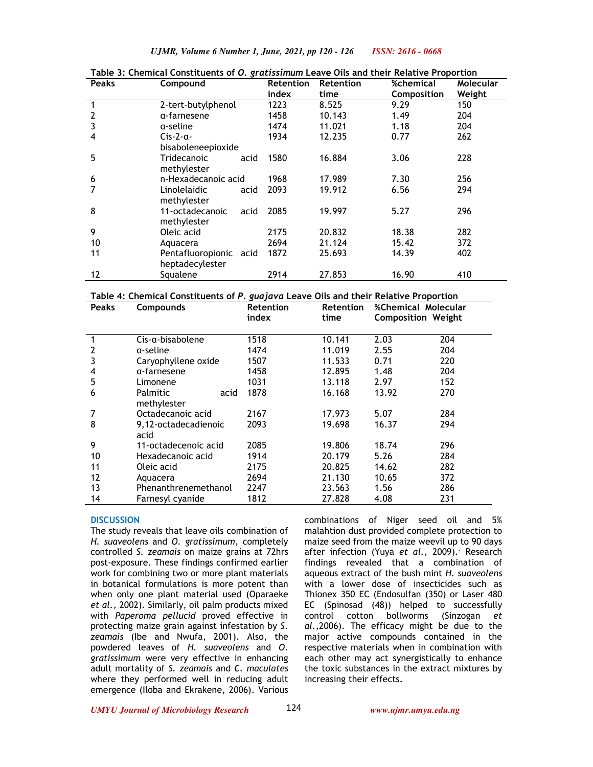*UJMR, Volume 6 Number 1, June, 2021, pp 120 - 126 ISSN: 2616 - 0668*

| <b>Peaks</b> | Compound                | <b>Retention</b> | <b>Retention</b> | %chemical   | Molecular |
|--------------|-------------------------|------------------|------------------|-------------|-----------|
|              |                         | index            | time             | Composition | Weight    |
| 1            | 2-tert-butylphenol      | 1223             | 8.525            | 9.29        | 150       |
| 2            | α-farnesene             | 1458             | 10.143           | 1.49        | 204       |
| 3            | a-seline                | 1474             | 11.021           | 1.18        | 204       |
| 4            | $Cis-2-\alpha-$         | 1934             | 12.235           | 0.77        | 262       |
|              | bisaboleneepioxide      |                  |                  |             |           |
| 5            | Tridecanoic<br>acid     | 1580             | 16.884           | 3.06        | 228       |
|              | methylester             |                  |                  |             |           |
| 6            | n-Hexadecanoic acid     | 1968             | 17.989           | 7.30        | 256       |
|              | Linolelaidic<br>acid    | 2093             | 19.912           | 6.56        | 294       |
|              | methylester             |                  |                  |             |           |
| 8            | 11-octadecanoic<br>acid | 2085             | 19.997           | 5.27        | 296       |
|              | methylester             |                  |                  |             |           |
| 9            | Oleic acid              | 2175             | 20.832           | 18.38       | 282       |
| 10           | Aquacera                | 2694             | 21.124           | 15.42       | 372       |
| 11           | Pentafluoropionic acid  | 1872             | 25.693           | 14.39       | 402       |
|              | heptadecylester         |                  |                  |             |           |
| 12           | Squalene                | 2914             | 27.853           | 16.90       | 410       |

**Table 3: Chemical Constituents of** *O. gratissimum* **Leave Oils and their Relative Proportion** 

**Table 4: Chemical Constituents of** *P. guajava* **Leave Oils and their Relative Proportion**

| <b>Peaks</b> | <b>Compounds</b>        | <b>Retention</b> | <b>Retention</b> | <b>%Chemical Molecular</b> |     |
|--------------|-------------------------|------------------|------------------|----------------------------|-----|
|              |                         | index            | time             | <b>Composition Weight</b>  |     |
|              |                         |                  |                  |                            |     |
| 1            | Cis-a-bisabolene        | 1518             | 10.141           | 2.03                       | 204 |
|              | a-seline                | 1474             | 11.019           | 2.55                       | 204 |
| 3            | Caryophyllene oxide     | 1507             | 11.533           | 0.71                       | 220 |
| 4            | a-farnesene             | 1458             | 12.895           | 1.48                       | 204 |
| 5            | Limonene                | 1031             | 13.118           | 2.97                       | 152 |
| 6            | <b>Palmitic</b><br>acid | 1878             | 16.168           | 13.92                      | 270 |
|              | methylester             |                  |                  |                            |     |
|              | Octadecanoic acid       | 2167             | 17.973           | 5.07                       | 284 |
| 8            | 9,12-octadecadienoic    | 2093             | 19.698           | 16.37                      | 294 |
|              | acid                    |                  |                  |                            |     |
| 9            | 11-octadecenoic acid    | 2085             | 19.806           | 18.74                      | 296 |
| 10           | Hexadecanoic acid       | 1914             | 20.179           | 5.26                       | 284 |
| 11           | Oleic acid              | 2175             | 20.825           | 14.62                      | 282 |
| 12           | Aquacera                | 2694             | 21.130           | 10.65                      | 372 |
| 13           | Phenanthrenemethanol    | 2247             | 23.563           | 1.56                       | 286 |
| 14           | Farnesyl cyanide        | 1812             | 27.828           | 4.08                       | 231 |

### **DISCUSSION**

The study reveals that leave oils combination of *H. suaveolens* and *O. gratissimum,* completely controlled *S. zeamais* on maize grains at 72hrs post-exposure. These findings confirmed earlier work for combining two or more plant materials in botanical formulations is more potent than when only one plant material used (Oparaeke *et al.,* 2002). Similarly, oil palm products mixed with *Paperoma pellucid* proved effective in protecting maize grain against infestation by *S*. *zeamais* (Ibe and Nwufa, 2001). Also, the powdered leaves of *H. suaveolens* and *O. gratissimum* were very effective in enhancing adult mortality of *S. zeamais* and *C. maculates*  where they performed well in reducing adult emergence (Iloba and Ekrakene, 2006). Various

combinations of Niger seed oil and 5% malahtion dust provided complete protection to maize seed from the maize weevil up to 90 days after infection (Yuya *et al.,* 2009).. Research findings revealed that a combination of aqueous extract of the bush mint *H. suaveolens* with a lower dose of insecticides such as Thionex 350 EC (Endosulfan (350) or Laser 480 EC (Spinosad (48)) helped to successfully control cotton bollworms (Sinzogan *et al.,*2006). The efficacy might be due to the major active compounds contained in the respective materials when in combination with each other may act synergistically to enhance the toxic substances in the extract mixtures by increasing their effects.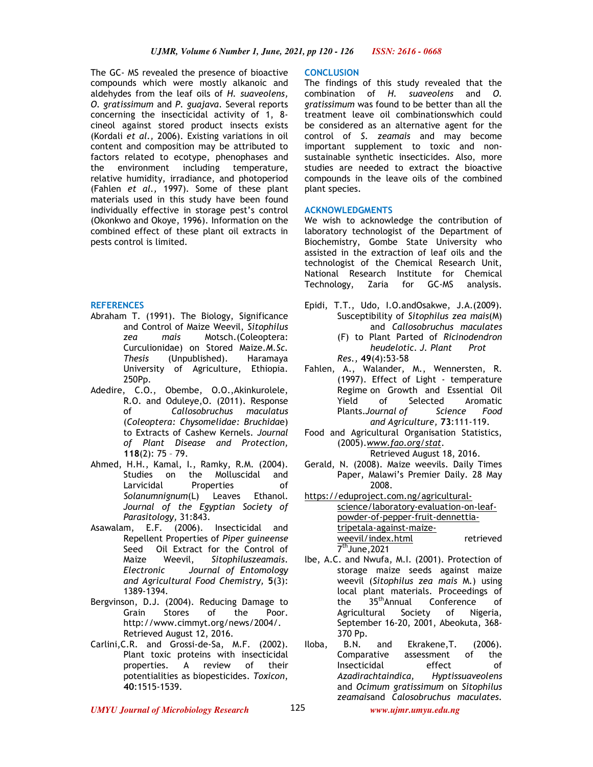The GC- MS revealed the presence of bioactive compounds which were mostly alkanoic and aldehydes from the leaf oils of *H. suaveolens, O. gratissimum* and *P. guajava*. Several reports concerning the insecticidal activity of 1, 8 cineol against stored product insects exists (Kordali *et al.,* 2006). Existing variations in oil content and composition may be attributed to factors related to ecotype, phenophases and the environment including temperature, relative humidity, irradiance, and photoperiod (Fahlen *et al.,* 1997). Some of these plant materials used in this study have been found individually effective in storage pest's control (Okonkwo and Okoye, 1996). Information on the combined effect of these plant oil extracts in pests control is limited.

## **REFERENCES**

- Abraham T. (1991). The Biology, Significance and Control of Maize Weevil, *Sitophilus zea mais* Motsch.(Coleoptera: Curculionidae) on Stored Maize.*M.Sc. Thesis* (Unpublished). Haramaya University of Agriculture, Ethiopia. 250Pp.
- Adedire, C.O., Obembe, O.O.,Akinkurolele, R.O. and Oduleye,O. (2011). Response of *Callosobruchus maculatus* (*Coleoptera: Chysomelidae: Bruchida*e) to Extracts of Cashew Kernels. *Journal of Plant Disease and Protection,*  **118**(2): 75 – 79.
- Ahmed, H.H., Kamal, I., Ramky, R.M. (2004). Studies on the Molluscidal and Larvicidal Properties of *Solanumnignum*(L) Leaves Ethanol. *Journal of the Egyptian Society of Parasitology,* 31:843.
- Asawalam, E.F. (2006). Insecticidal and Repellent Properties of *Piper guineense*  Seed Oil Extract for the Control of Maize Weevil, *Sitophiluszeamais*. *Electronic Journal of Entomology and Agricultural Food Chemistry,* **5**(3): 1389-1394.
- Bergvinson, D.J. (2004). Reducing Damage to<br>Grain Stores of the Poor Grain Stores of the Poor. http://www.cimmyt.org/news/2004/. Retrieved August 12, 2016.
- Carlini,C.R. and Grossi-de-Sa, M.F. (2002). Plant toxic proteins with insecticidal properties. A review of their potentialities as biopesticides. *Toxicon*, **40**:1515-1539.

### **CONCLUSION**

The findings of this study revealed that the combination of *H. suaveolens* and *O. gratissimum* was found to be better than all the treatment leave oil combinationswhich could be considered as an alternative agent for the control of *S. zeamais* and may become important supplement to toxic and nonsustainable synthetic insecticides. Also, more studies are needed to extract the bioactive compounds in the leave oils of the combined plant species.

### **ACKNOWLEDGMENTS**

We wish to acknowledge the contribution of laboratory technologist of the Department of Biochemistry, Gombe State University who assisted in the extraction of leaf oils and the technologist of the Chemical Research Unit, National Research Institute for Chemical Technology, Zaria for GC-MS analysis.

- Epidi, T.T., Udo, I.O.andOsakwe, J.A.(2009). Susceptibility of *Sitophilus zea mais*(M) and *Callosobruchus maculates*  (F) to Plant Parted of *Ricinodendron*
	- *heudelotic*. *J. Plant Prot Res.,* **49**(4):53-58
- Fahlen, A., Walander, M., Wennersten, R. (1997). Effect of Light - temperature Regime on Growth and Essential Oil Yield of Selected Aromatic Plants.*Journal of Science Food and Agriculture,* **73**:111-119.
- Food and Agricultural Organisation Statistics, (2005).*www.fao.org/stat*.

Retrieved August 18, 2016.

- Gerald, N. (2008). Maize weevils. Daily Times Paper, Malawi's Premier Daily. 28 May 2008.
- https://eduproject.com.ng/agriculturalscience/laboratory-evaluation-on-leafpowder-of-pepper-fruit-dennettiatripetala-against-maizeweevil/index.html retrieved 7 thJune,2021
- Ibe, A.C. and Nwufa, M.I. (2001). Protection of storage maize seeds against maize weevil (*Sitophilus zea mais* M.) using local plant materials. Proceedings of<br>the 35<sup>th</sup>Annual Conference of the 35<sup>th</sup>Annual Conference of Agricultural Society of Nigeria, September 16-20, 2001, Abeokuta, 368- 370 Pp.
- Iloba, B.N. and Ekrakene,T. (2006). Comparative assessment of the Insecticidal effect of<br>Azadirachtaindica, Hyptissuaveolens *Azadirachtaindica, Hyptissuaveolens*  and *Ocimum gratissimum* on *Sitophilus zeamais*and *Calosobruchus maculates.*

*UMYU Journal of Microbiology Research www.ujmr.umyu.edu.ng*